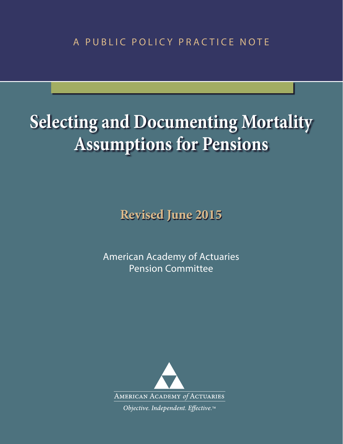A PUBLIC POLICY PRACTICE NOTE

# **Selecting and Documenting Mortality Assumptions for Pensions**

**Revised June 2015**

American Academy of Actuaries Pension Committee

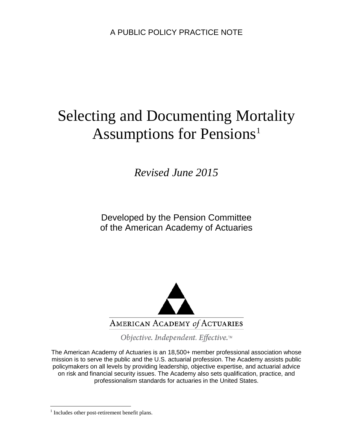A PUBLIC POLICY PRACTICE NOTE

# Selecting and Documenting Mortality Assumptions for Pensions<sup>[1](#page-1-0)</sup>

*Revised June 2015* 

Developed by the Pension Committee of the American Academy of Actuaries



Objective. Independent. Effective.™

The American Academy of Actuaries is an 18,500+ member professional association whose mission is to serve the public and the U.S. actuarial profession. The Academy assists public policymakers on all levels by providing leadership, objective expertise, and actuarial advice on risk and financial security issues. The Academy also sets qualification, practice, and professionalism standards for actuaries in the United States.

<span id="page-1-0"></span><sup>&</sup>lt;sup>1</sup> Includes other post-retirement benefit plans.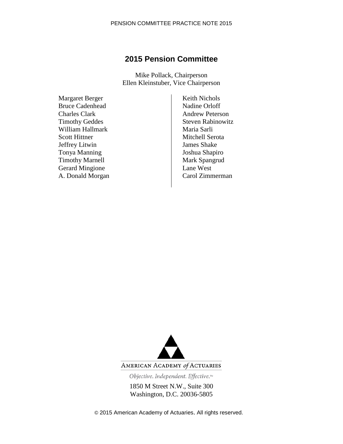# **2015 Pension Committee**

Mike Pollack, Chairperson Ellen Kleinstuber, Vice Chairperson

Margaret Berger Bruce Cadenhead Charles Clark Timothy Geddes William Hallmark Scott Hittner Jeffrey Litwin Tonya Manning Timothy Marnell Gerard Mingione A. Donald Morgan Keith Nichols Nadine Orloff Andrew Peterson Steven Rabinowitz Maria Sarli Mitchell Serota James Shake Joshua Shapiro Mark Spangrud Lane West Carol Zimmerman



AMERICAN ACADEMY of ACTUARIES

Objective. Independent. Effective.™

1850 M Street N.W., Suite 300 Washington, D.C. 20036-5805

© 2015 American Academy of Actuaries. All rights reserved.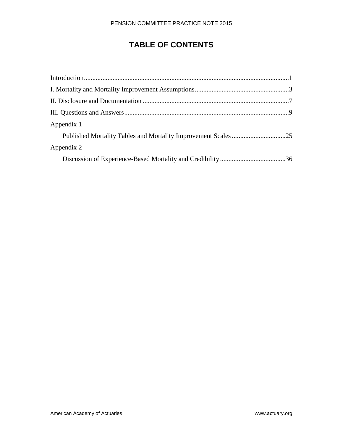# **TABLE OF CONTENTS**

| Appendix 1 |  |
|------------|--|
|            |  |
| Appendix 2 |  |
|            |  |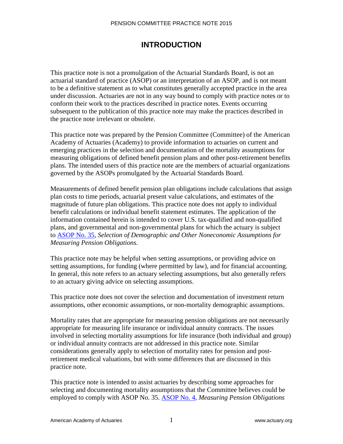# **INTRODUCTION**

This practice note is not a promulgation of the Actuarial Standards Board, is not an actuarial standard of practice (ASOP) or an interpretation of an ASOP, and is not meant to be a definitive statement as to what constitutes generally accepted practice in the area under discussion. Actuaries are not in any way bound to comply with practice notes or to conform their work to the practices described in practice notes. Events occurring subsequent to the publication of this practice note may make the practices described in the practice note irrelevant or obsolete.

This practice note was prepared by the Pension Committee (Committee) of the American Academy of Actuaries (Academy) to provide information to actuaries on current and emerging practices in the selection and documentation of the mortality assumptions for measuring obligations of defined benefit pension plans and other post-retirement benefits plans. The intended users of this practice note are the members of actuarial organizations governed by the ASOPs promulgated by the Actuarial Standards Board.

Measurements of defined benefit pension plan obligations include calculations that assign plan costs to time periods, actuarial present value calculations, and estimates of the magnitude of future plan obligations. This practice note does not apply to individual benefit calculations or individual benefit statement estimates. The application of the information contained herein is intended to cover U.S. tax-qualified and non-qualified plans, and governmental and non-governmental plans for which the actuary is subject [to ASOP No. 3](http://www.actuarialstandardsboard.org/asops/selection-demographic-noneconomic-assumptions-measuring-pension-obligations/)5, *Selection of Demographic and Other Noneconomic Assumptions for Measuring Pension Obligations*.

This practice note may be helpful when setting assumptions, or providing advice on setting assumptions, for funding (where permitted by law), and for financial accounting. In general, this note refers to an actuary selecting assumptions, but also generally refers to an actuary giving advice on selecting assumptions.

This practice note does not cover the selection and documentation of investment return assumptions, other economic assumptions, or non-mortality demographic assumptions.

Mortality rates that are appropriate for measuring pension obligations are not necessarily appropriate for measuring life insurance or individual annuity contracts. The issues involved in selecting mortality assumptions for life insurance (both individual and group) or individual annuity contracts are not addressed in this practice note. Similar considerations generally apply to selection of mortality rates for pension and postretirement medical valuations, but with some differences that are discussed in this practice note.

This practice note is intended to assist actuaries by describing some approaches for selecting and documenting mortality assumptions that the Committee believes could be employed to comply with ASOP No. 35. [ASOP No. 4,](http://www.actuarialstandardsboard.org/asops/measuring-pension-obligations-determining-pension-plan-costs-contributions/) *Measuring Pension Obligations*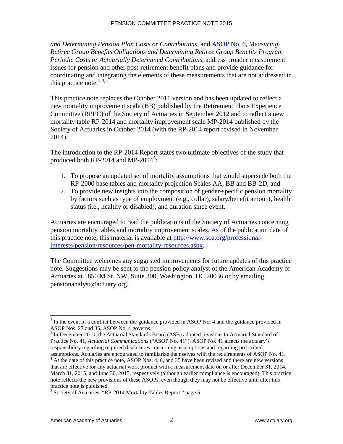*and Determining Pension Plan Costs or Contributions*, and [ASOP No. 6,](http://www.actuarialstandardsboard.org/asops/measuring-retiree-group-benefit-obligations/) *Measuring Retiree Group Benefits Obligations and Determining Retiree Group Benefits Program Periodic Costs or Actuarially Determined Contributions*, address broader measurement issues for pension and other post-retirement benefit plans and provide guidance for coordinating and integrating the elements of these measurements that are not addressed in this practice note. [2](#page-5-0),[3](#page-5-1),[4](#page-5-2)

This practice note replaces the October 2011 version and has been updated to reflect a new mortality improvement scale (BB) published by the Retirement Plans Experience Committee (RPEC) of the Society of Actuaries in September 2012 and to reflect a new mortality table RP-2014 and mortality improvement scale MP-2014 published by the Society of Actuaries in October 2014 (with the RP-2014 report revised in November 2014).

The introduction to the RP-2014 Report states two ultimate objectives of the study that produced both RP-2014 and MP-2014<sup>[5](#page-5-3)</sup>:

- 1. To propose an updated set of mortality assumptions that would supersede both the RP-2000 base tables and mortality projection Scales AA, BB and BB-2D, and
- 2. To provide new insights into the composition of gender-specific pension mortality by factors such as type of employment (e.g., collar), salary/benefit amount, health status (i.e., healthy or disabled), and duration since event.

Actuaries are encouraged to read the publications of the Society of Actuaries concerning pension mortality tables and mortality improvement scales. As of the publication date of this practice note, this material is available at [http://www.soa.org/professional](http://www.soa.org/professional-interests/pension/resources/pen-mortality-resources.aspx)[interests/pension/resources/pen-mortality-resources.aspx.](http://www.soa.org/professional-interests/pension/resources/pen-mortality-resources.aspx)

The Committee welcomes any suggested improvements for future updates of this practice note. Suggestions may be sent to the pension policy analyst of the American Academy of Actuaries at 1850 M St. NW, Suite 300, Washington, DC 20036 or by emailing pensionanalyst@actuary.org.

<span id="page-5-0"></span> $\overline{a}$  $2^{2}$  In the event of a conflict between the guidance provided in ASOP No. 4 and the guidance provided in ASOP Nos. 27 and 35, ASOP No. 4 governs.

<span id="page-5-1"></span><sup>&</sup>lt;sup>3</sup> In December 2010, the Actuarial Standards Board (ASB) adopted revisions to Actuarial Standard of Practice No. 41, *Actuarial Communications* ("ASOP No. 41"). ASOP No. 41 affects the actuary's responsibility regarding required disclosures concerning assumptions and regarding prescribed assumptions. Actuaries are encouraged to familiarize themselves with the requirements of ASOP No. 41.

<span id="page-5-2"></span> $<sup>4</sup>$  At the date of this practice note, ASOP Nos. 4, 6, and 35 have been revised and there are new versions</sup> that are effective for any actuarial work product with a measurement date on or after December 31, 2014, March 31, 2015, and June 30, 2015, respectively (although earlier compliance is encouraged). This practice note reflects the new provisions of these ASOPs, even though they may not be effective until after this practice note is published.

<span id="page-5-3"></span> $<sup>5</sup>$  Society of Actuaries, "RP-2014 Mortality Tables Report," page 5.</sup>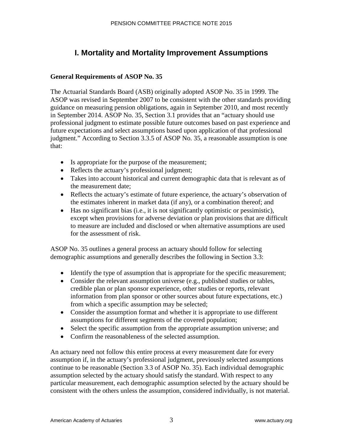# **I. Mortality and Mortality Improvement Assumptions**

# **General Requirements of ASOP No. 35**

The Actuarial Standards Board (ASB) originally adopted ASOP No. 35 in 1999. The ASOP was revised in September 2007 to be consistent with the other standards providing guidance on measuring pension obligations, again in September 2010, and most recently in September 2014. ASOP No. 35, Section 3.1 provides that an "actuary should use professional judgment to estimate possible future outcomes based on past experience and future expectations and select assumptions based upon application of that professional judgment." According to Section 3.3.5 of ASOP No. 35, a reasonable assumption is one that:

- Is appropriate for the purpose of the measurement;
- Reflects the actuary's professional judgment;
- Takes into account historical and current demographic data that is relevant as of the measurement date;
- Reflects the actuary's estimate of future experience, the actuary's observation of the estimates inherent in market data (if any), or a combination thereof; and
- Has no significant bias (i.e., it is not significantly optimistic or pessimistic), except when provisions for adverse deviation or plan provisions that are difficult to measure are included and disclosed or when alternative assumptions are used for the assessment of risk.

ASOP No. 35 outlines a general process an actuary should follow for selecting demographic assumptions and generally describes the following in Section 3.3:

- Identify the type of assumption that is appropriate for the specific measurement;
- Consider the relevant assumption universe (e.g., published studies or tables, credible plan or plan sponsor experience, other studies or reports, relevant information from plan sponsor or other sources about future expectations, etc.) from which a specific assumption may be selected;
- Consider the assumption format and whether it is appropriate to use different assumptions for different segments of the covered population;
- Select the specific assumption from the appropriate assumption universe; and
- Confirm the reasonableness of the selected assumption.

An actuary need not follow this entire process at every measurement date for every assumption if, in the actuary's professional judgment, previously selected assumptions continue to be reasonable (Section 3.3 of ASOP No. 35). Each individual demographic assumption selected by the actuary should satisfy the standard. With respect to any particular measurement, each demographic assumption selected by the actuary should be consistent with the others unless the assumption, considered individually, is not material.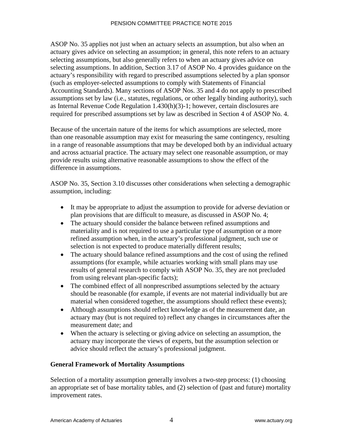ASOP No. 35 applies not just when an actuary selects an assumption, but also when an actuary gives advice on selecting an assumption; in general, this note refers to an actuary selecting assumptions, but also generally refers to when an actuary gives advice on selecting assumptions. In addition, Section 3.17 of ASOP No. 4 provides guidance on the actuary's responsibility with regard to prescribed assumptions selected by a plan sponsor (such as employer-selected assumptions to comply with Statements of Financial Accounting Standards). Many sections of ASOP Nos. 35 and 4 do not apply to prescribed assumptions set by law (i.e., statutes, regulations, or other legally binding authority), such as Internal Revenue Code Regulation 1.430(h)(3)-1; however, certain disclosures are required for prescribed assumptions set by law as described in Section 4 of ASOP No. 4.

Because of the uncertain nature of the items for which assumptions are selected, more than one reasonable assumption may exist for measuring the same contingency, resulting in a range of reasonable assumptions that may be developed both by an individual actuary and across actuarial practice. The actuary may select one reasonable assumption, or may provide results using alternative reasonable assumptions to show the effect of the difference in assumptions.

ASOP No. 35, Section 3.10 discusses other considerations when selecting a demographic assumption, including:

- It may be appropriate to adjust the assumption to provide for adverse deviation or plan provisions that are difficult to measure, as discussed in ASOP No. 4;
- The actuary should consider the balance between refined assumptions and materiality and is not required to use a particular type of assumption or a more refined assumption when, in the actuary's professional judgment, such use or selection is not expected to produce materially different results;
- The actuary should balance refined assumptions and the cost of using the refined assumptions (for example, while actuaries working with small plans may use results of general research to comply with ASOP No. 35, they are not precluded from using relevant plan-specific facts);
- The combined effect of all nonprescribed assumptions selected by the actuary should be reasonable (for example, if events are not material individually but are material when considered together, the assumptions should reflect these events);
- Although assumptions should reflect knowledge as of the measurement date, an actuary may (but is not required to) reflect any changes in circumstances after the measurement date; and
- When the actuary is selecting or giving advice on selecting an assumption, the actuary may incorporate the views of experts, but the assumption selection or advice should reflect the actuary's professional judgment.

# **General Framework of Mortality Assumptions**

Selection of a mortality assumption generally involves a two-step process: (1) choosing an appropriate set of base mortality tables, and (2) selection of (past and future) mortality improvement rates.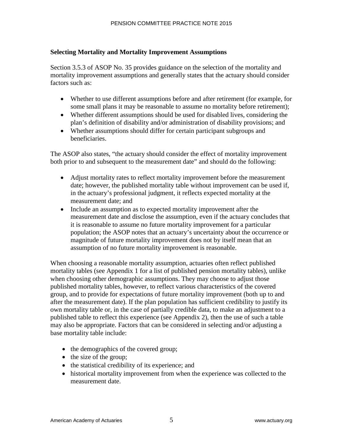### **Selecting Mortality and Mortality Improvement Assumptions**

Section 3.5.3 of ASOP No. 35 provides guidance on the selection of the mortality and mortality improvement assumptions and generally states that the actuary should consider factors such as:

- Whether to use different assumptions before and after retirement (for example, for some small plans it may be reasonable to assume no mortality before retirement);
- Whether different assumptions should be used for disabled lives, considering the plan's definition of disability and/or administration of disability provisions; and
- Whether assumptions should differ for certain participant subgroups and beneficiaries.

The ASOP also states, "the actuary should consider the effect of mortality improvement both prior to and subsequent to the measurement date" and should do the following:

- Adjust mortality rates to reflect mortality improvement before the measurement date; however, the published mortality table without improvement can be used if, in the actuary's professional judgment, it reflects expected mortality at the measurement date; and
- Include an assumption as to expected mortality improvement after the measurement date and disclose the assumption, even if the actuary concludes that it is reasonable to assume no future mortality improvement for a particular population; the ASOP notes that an actuary's uncertainty about the occurrence or magnitude of future mortality improvement does not by itself mean that an assumption of no future mortality improvement is reasonable.

When choosing a reasonable mortality assumption, actuaries often reflect published mortality tables (see Appendix 1 for a list of published pension mortality tables), unlike when choosing other demographic assumptions. They may choose to adjust those published mortality tables, however, to reflect various characteristics of the covered group, and to provide for expectations of future mortality improvement (both up to and after the measurement date). If the plan population has sufficient credibility to justify its own mortality table or, in the case of partially credible data, to make an adjustment to a published table to reflect this experience (see Appendix 2), then the use of such a table may also be appropriate. Factors that can be considered in selecting and/or adjusting a base mortality table include:

- the demographics of the covered group;
- the size of the group;
- the statistical credibility of its experience; and
- historical mortality improvement from when the experience was collected to the measurement date.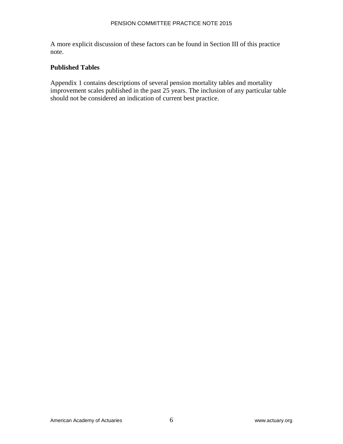A more explicit discussion of these factors can be found in Section III of this practice note.

#### **Published Tables**

Appendix 1 contains descriptions of several pension mortality tables and mortality improvement scales published in the past 25 years. The inclusion of any particular table should not be considered an indication of current best practice.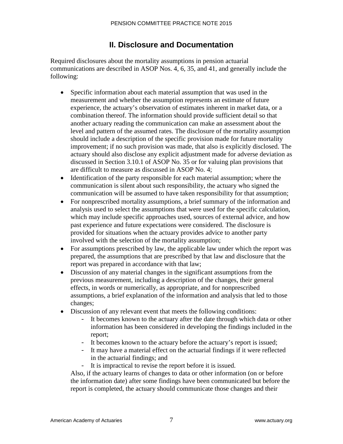# **II. Disclosure and Documentation**

Required disclosures about the mortality assumptions in pension actuarial communications are described in ASOP Nos. 4, 6, 35, and 41, and generally include the following:

- Specific information about each material assumption that was used in the measurement and whether the assumption represents an estimate of future experience, the actuary's observation of estimates inherent in market data, or a combination thereof. The information should provide sufficient detail so that another actuary reading the communication can make an assessment about the level and pattern of the assumed rates. The disclosure of the mortality assumption should include a description of the specific provision made for future mortality improvement; if no such provision was made, that also is explicitly disclosed. The actuary should also disclose any explicit adjustment made for adverse deviation as discussed in Section 3.10.1 of ASOP No. 35 or for valuing plan provisions that are difficult to measure as discussed in ASOP No. 4;
- Identification of the party responsible for each material assumption; where the communication is silent about such responsibility, the actuary who signed the communication will be assumed to have taken responsibility for that assumption;
- For nonprescribed mortality assumptions, a brief summary of the information and analysis used to select the assumptions that were used for the specific calculation, which may include specific approaches used, sources of external advice, and how past experience and future expectations were considered. The disclosure is provided for situations when the actuary provides advice to another party involved with the selection of the mortality assumption;
- For assumptions prescribed by law, the applicable law under which the report was prepared, the assumptions that are prescribed by that law and disclosure that the report was prepared in accordance with that law;
- Discussion of any material changes in the significant assumptions from the previous measurement, including a description of the changes, their general effects, in words or numerically, as appropriate, and for nonprescribed assumptions, a brief explanation of the information and analysis that led to those changes;
- Discussion of any relevant event that meets the following conditions:
	- It becomes known to the actuary after the date through which data or other information has been considered in developing the findings included in the report;
	- It becomes known to the actuary before the actuary's report is issued;
	- It may have a material effect on the actuarial findings if it were reflected in the actuarial findings; and
	- It is impractical to revise the report before it is issued.

Also, if the actuary learns of changes to data or other information (on or before the information date) after some findings have been communicated but before the report is completed, the actuary should communicate those changes and their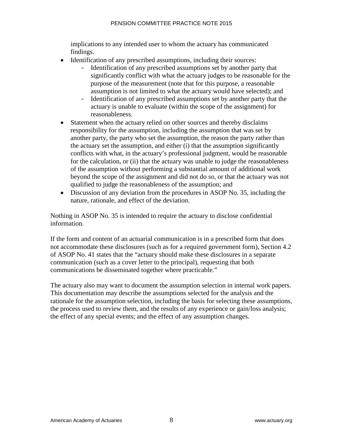implications to any intended user to whom the actuary has communicated findings.

- Identification of any prescribed assumptions, including their sources:
	- Identification of any prescribed assumptions set by another party that significantly conflict with what the actuary judges to be reasonable for the purpose of the measurement (note that for this purpose, a reasonable assumption is not limited to what the actuary would have selected); and
	- Identification of any prescribed assumptions set by another party that the actuary is unable to evaluate (within the scope of the assignment) for reasonableness.
- Statement when the actuary relied on other sources and thereby disclaims responsibility for the assumption, including the assumption that was set by another party, the party who set the assumption, the reason the party rather than the actuary set the assumption, and either (i) that the assumption significantly conflicts with what, in the actuary's professional judgment, would be reasonable for the calculation, or (ii) that the actuary was unable to judge the reasonableness of the assumption without performing a substantial amount of additional work beyond the scope of the assignment and did not do so, or that the actuary was not qualified to judge the reasonableness of the assumption; and
- Discussion of any deviation from the procedures in ASOP No. 35, including the nature, rationale, and effect of the deviation.

Nothing in ASOP No. 35 is intended to require the actuary to disclose confidential information.

If the form and content of an actuarial communication is in a prescribed form that does not accommodate these disclosures (such as for a required government form), Section 4.2 of ASOP No. 41 states that the "actuary should make these disclosures in a separate communication (such as a cover letter to the principal), requesting that both communications be disseminated together where practicable."

The actuary also may want to document the assumption selection in internal work papers. This documentation may describe the assumptions selected for the analysis and the rationale for the assumption selection, including the basis for selecting these assumptions, the process used to review them, and the results of any experience or gain/loss analysis; the effect of any special events; and the effect of any assumption changes.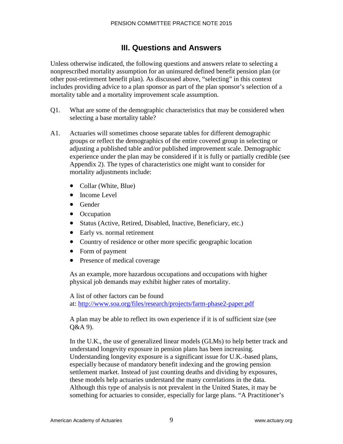# **III. Questions and Answers**

Unless otherwise indicated, the following questions and answers relate to selecting a nonprescribed mortality assumption for an uninsured defined benefit pension plan (or other post-retirement benefit plan). As discussed above, "selecting" in this context includes providing advice to a plan sponsor as part of the plan sponsor's selection of a mortality table and a mortality improvement scale assumption.

- Q1. What are some of the demographic characteristics that may be considered when selecting a base mortality table?
- A1. Actuaries will sometimes choose separate tables for different demographic groups or reflect the demographics of the entire covered group in selecting or adjusting a published table and/or published improvement scale. Demographic experience under the plan may be considered if it is fully or partially credible (see Appendix 2). The types of characteristics one might want to consider for mortality adjustments include:
	- Collar (White, Blue)
	- Income Level
	- Gender
	- Occupation
	- Status (Active, Retired, Disabled, Inactive, Beneficiary, etc.)
	- Early vs. normal retirement
	- Country of residence or other more specific geographic location
	- Form of payment
	- Presence of medical coverage

As an example, more hazardous occupations and occupations with higher physical job demands may exhibit higher rates of mortality.

A list of other factors can be found

[at: http://www.soa.org/files/research/projects/farm-phase2-paper.p](http://www.soa.org/files/research/projects/farm-phase2-paper.pdf)df

A plan may be able to reflect its own experience if it is of sufficient size (see Q&A 9).

In the U.K., the use of generalized linear models (GLMs) to help better track and understand longevity exposure in pension plans has been increasing. Understanding longevity exposure is a significant issue for U.K.-based plans, especially because of mandatory benefit indexing and the growing pension settlement market. Instead of just counting deaths and dividing by exposures, these models help actuaries understand the many correlations in the data. Although this type of analysis is not prevalent in the United States, it may be something for actuaries to consider, especially for large plans. "A Practitioner's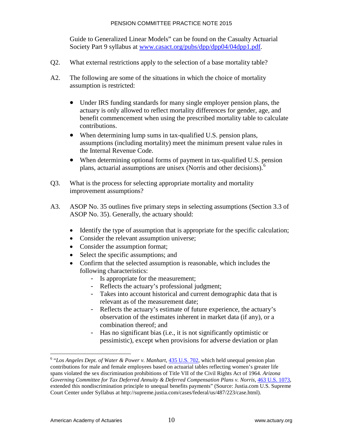Guide to Generalized Linear Models" can be found on the Casualty Actuarial Society Part 9 syllabus at [www.casact.org/pubs/dpp/dpp04/04dpp1.pdf.](http://www.casact.org/pubs/dpp/dpp04/04dpp1.pdf)

- Q2. What external restrictions apply to the selection of a base mortality table?
- A2. The following are some of the situations in which the choice of mortality assumption is restricted:
	- Under IRS funding standards for many single employer pension plans, the actuary is only allowed to reflect mortality differences for gender, age, and benefit commencement when using the prescribed mortality table to calculate contributions.
	- When determining lump sums in tax-qualified U.S. pension plans, assumptions (including mortality) meet the minimum present value rules in the Internal Revenue Code.
	- When determining optional forms of payment in tax-qualified U.S. pension plans, actuarial assumptions are unisex (Norris and other decisions).<sup>[6](#page-13-0)</sup>
- Q3. What is the process for selecting appropriate mortality and mortality improvement assumptions?
- A3. ASOP No. 35 outlines five primary steps in selecting assumptions (Section 3.3 of ASOP No. 35). Generally, the actuary should:
	- Identify the type of assumption that is appropriate for the specific calculation;
	- Consider the relevant assumption universe;
	- Consider the assumption format;
	- Select the specific assumptions; and
	- Confirm that the selected assumption is reasonable, which includes the following characteristics:
		- Is appropriate for the measurement;
		- Reflects the actuary's professional judgment;
		- Takes into account historical and current demographic data that is relevant as of the measurement date;
		- Reflects the actuary's estimate of future experience, the actuary's observation of the estimates inherent in market data (if any), or a combination thereof; and
		- Has no significant bias (i.e., it is not significantly optimistic or pessimistic), except when provisions for adverse deviation or plan

<span id="page-13-0"></span><sup>&</sup>lt;sup>6</sup> "Los Angeles Dept. of Water & Power v. Manhart, [435 U.S. 702,](http://supreme.justia.com/cases/federal/us/435/702/case.html) which held unequal pension plan contributions for male and female employees based on actuarial tables reflecting women's greater life spans violated the sex discrimination prohibitions of Title VII of the Civil Rights Act of 1964. *Arizona Governing Committee for Tax Deferred Annuity & Deferred Compensation Plans v. Norris,* [463 U.S. 1073,](http://supreme.justia.com/cases/federal/us/463/1073/case.html) extended this nondiscrimination principle to unequal benefits payments" (Source: Justia.com U.S. Supreme Court Center under Syllabus at http://supreme.justia.com/cases/federal/us/487/223/case.html).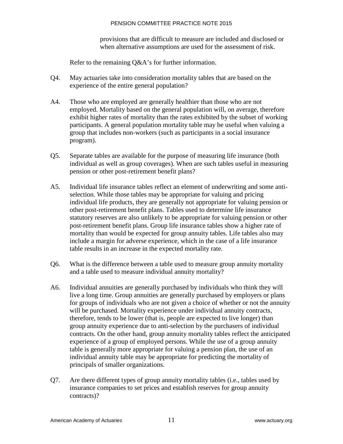provisions that are difficult to measure are included and disclosed or when alternative assumptions are used for the assessment of risk.

Refer to the remaining Q&A's for further information.

- Q4. May actuaries take into consideration mortality tables that are based on the experience of the entire general population?
- A4. Those who are employed are generally healthier than those who are not employed. Mortality based on the general population will, on average, therefore exhibit higher rates of mortality than the rates exhibited by the subset of working participants. A general population mortality table may be useful when valuing a group that includes non-workers (such as participants in a social insurance program).
- Q5. Separate tables are available for the purpose of measuring life insurance (both individual as well as group coverages). When are such tables useful in measuring pension or other post-retirement benefit plans?
- A5. Individual life insurance tables reflect an element of underwriting and some antiselection. While those tables may be appropriate for valuing and pricing individual life products, they are generally not appropriate for valuing pension or other post-retirement benefit plans. Tables used to determine life insurance statutory reserves are also unlikely to be appropriate for valuing pension or other post-retirement benefit plans. Group life insurance tables show a higher rate of mortality than would be expected for group annuity tables. Life tables also may include a margin for adverse experience, which in the case of a life insurance table results in an increase in the expected mortality rate.
- Q6. What is the difference between a table used to measure group annuity mortality and a table used to measure individual annuity mortality?
- A6. Individual annuities are generally purchased by individuals who think they will live a long time. Group annuities are generally purchased by employers or plans for groups of individuals who are not given a choice of whether or not the annuity will be purchased. Mortality experience under individual annuity contracts, therefore, tends to be lower (that is, people are expected to live longer) than group annuity experience due to anti-selection by the purchasers of individual contracts. On the other hand, group annuity mortality tables reflect the anticipated experience of a group of employed persons. While the use of a group annuity table is generally more appropriate for valuing a pension plan, the use of an individual annuity table may be appropriate for predicting the mortality of principals of smaller organizations.
- Q7. Are there different types of group annuity mortality tables (i.e., tables used by insurance companies to set prices and establish reserves for group annuity contracts)?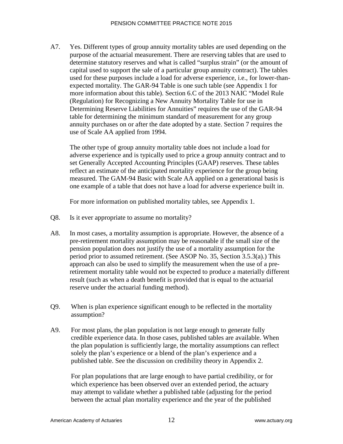A7. Yes. Different types of group annuity mortality tables are used depending on the purpose of the actuarial measurement. There are reserving tables that are used to determine statutory reserves and what is called "surplus strain" (or the amount of capital used to support the sale of a particular group annuity contract). The tables used for these purposes include a load for adverse experience, i.e., for lower-thanexpected mortality. The GAR-94 Table is one such table (see Appendix 1 for more information about this table). Section 6.C of the 2013 NAIC "Model Rule (Regulation) for Recognizing a New Annuity Mortality Table for use in Determining Reserve Liabilities for Annuities" requires the use of the GAR-94 table for determining the minimum standard of measurement for any group annuity purchases on or after the date adopted by a state. Section 7 requires the use of Scale AA applied from 1994.

The other type of group annuity mortality table does not include a load for adverse experience and is typically used to price a group annuity contract and to set Generally Accepted Accounting Principles (GAAP) reserves. These tables reflect an estimate of the anticipated mortality experience for the group being measured. The GAM-94 Basic with Scale AA applied on a generational basis is one example of a table that does not have a load for adverse experience built in.

For more information on published mortality tables, see Appendix 1.

- Q8. Is it ever appropriate to assume no mortality?
- A8. In most cases, a mortality assumption is appropriate. However, the absence of a pre-retirement mortality assumption may be reasonable if the small size of the pension population does not justify the use of a mortality assumption for the period prior to assumed retirement. (See ASOP No. 35, Section 3.5.3(a).) This approach can also be used to simplify the measurement when the use of a preretirement mortality table would not be expected to produce a materially different result (such as when a death benefit is provided that is equal to the actuarial reserve under the actuarial funding method).
- Q9. When is plan experience significant enough to be reflected in the mortality assumption?
- A9. For most plans, the plan population is not large enough to generate fully credible experience data. In those cases, published tables are available. When the plan population is sufficiently large, the mortality assumptions can reflect solely the plan's experience or a blend of the plan's experience and a published table. See the discussion on credibility theory in Appendix 2.

For plan populations that are large enough to have partial credibility, or for which experience has been observed over an extended period, the actuary may attempt to validate whether a published table (adjusting for the period between the actual plan mortality experience and the year of the published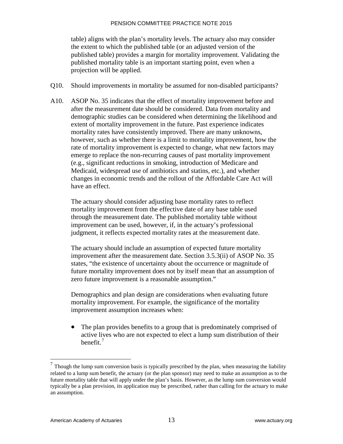table) aligns with the plan's mortality levels. The actuary also may consider the extent to which the published table (or an adjusted version of the published table) provides a margin for mortality improvement. Validating the published mortality table is an important starting point, even when a projection will be applied.

- Q10. Should improvements in mortality be assumed for non-disabled participants?
- A10. ASOP No. 35 indicates that the effect of mortality improvement before and after the measurement date should be considered. Data from mortality and demographic studies can be considered when determining the likelihood and extent of mortality improvement in the future. Past experience indicates mortality rates have consistently improved. There are many unknowns, however, such as whether there is a limit to mortality improvement, how the rate of mortality improvement is expected to change, what new factors may emerge to replace the non-recurring causes of past mortality improvement (e.g., significant reductions in smoking, introduction of Medicare and Medicaid, widespread use of antibiotics and statins, etc.), and whether changes in economic trends and the rollout of the Affordable Care Act will have an effect.

The actuary should consider adjusting base mortality rates to reflect mortality improvement from the effective date of any base table used through the measurement date. The published mortality table without improvement can be used, however, if, in the actuary's professional judgment, it reflects expected mortality rates at the measurement date.

The actuary should include an assumption of expected future mortality improvement after the measurement date. Section 3.5.3(ii) of ASOP No. 35 states, "the existence of uncertainty about the occurrence or magnitude of future mortality improvement does not by itself mean that an assumption of zero future improvement is a reasonable assumption."

Demographics and plan design are considerations when evaluating future mortality improvement. For example, the significance of the mortality improvement assumption increases when:

The plan provides benefits to a group that is predominately comprised of active lives who are not expected to elect a lump sum distribution of their benefit.<sup>[7](#page-16-0)</sup>

<span id="page-16-0"></span> $<sup>7</sup>$  Though the lump sum conversion basis is typically prescribed by the plan, when measuring the liability</sup> related to a lump sum benefit, the actuary (or the plan sponsor) may need to make an assumption as to the future mortality table that will apply under the plan's basis. However, as the lump sum conversion would typically be a plan provision, its application may be prescribed, rather than calling for the actuary to make an assumption.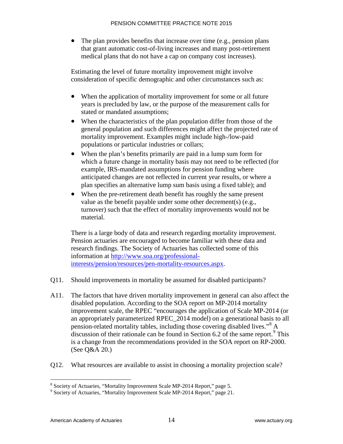• The plan provides benefits that increase over time (e.g., pension plans) that grant automatic cost-of-living increases and many post-retirement medical plans that do not have a cap on company cost increases).

Estimating the level of future mortality improvement might involve consideration of specific demographic and other circumstances such as:

- When the application of mortality improvement for some or all future years is precluded by law, or the purpose of the measurement calls for stated or mandated assumptions;
- When the characteristics of the plan population differ from those of the general population and such differences might affect the projected rate of mortality improvement. Examples might include high-/low-paid populations or particular industries or collars;
- When the plan's benefits primarily are paid in a lump sum form for which a future change in mortality basis may not need to be reflected (for example, IRS-mandated assumptions for pension funding where anticipated changes are not reflected in current year results, or where a plan specifies an alternative lump sum basis using a fixed table); and
- When the pre-retirement death benefit has roughly the same present value as the benefit payable under some other decrement(s) (e.g., turnover) such that the effect of mortality improvements would not be material.

There is a large body of data and research regarding mortality improvement. Pension actuaries are encouraged to become familiar with these data and research findings. The Society of Actuaries has collected some of this information at [http://www.soa.org/professional](http://www.soa.org/professional-interests/pension/resources/pen-mortality-resources.aspx)[interests/pension/resources/pen-mortality-resources.aspx.](http://www.soa.org/professional-interests/pension/resources/pen-mortality-resources.aspx)

- Q11. Should improvements in mortality be assumed for disabled participants?
- A11. The factors that have driven mortality improvement in general can also affect the disabled population. According to the SOA report on MP-2014 mortality improvement scale, the RPEC "encourages the application of Scale MP-2014 (or an appropriately parameterized RPEC\_2014 model) on a generational basis to all pension-related mortality tables, including those covering disabled lives."[8](#page-17-0) A discussion of their rationale can be found in Section 6.2 of the same report.<sup>[9](#page-17-1)</sup> This is a change from the recommendations provided in the SOA report on RP-2000. (See Q&A 20.)
- Q12. What resources are available to assist in choosing a mortality projection scale?

 $\overline{a}$ 

<span id="page-17-1"></span><span id="page-17-0"></span><sup>8</sup> Society of Actuaries, "Mortality Improvement Scale MP-2014 Report," page 5. <sup>9</sup> Society of Actuaries, "Mortality Improvement Scale MP-2014 Report," page 21.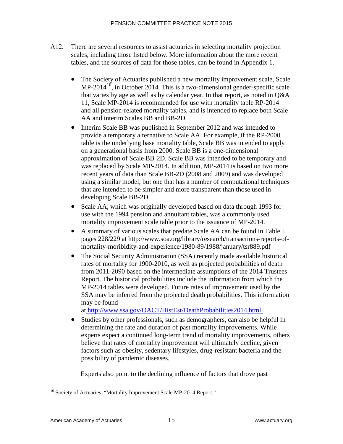- A12. There are several resources to assist actuaries in selecting mortality projection scales, including those listed below. More information about the more recent tables, and the sources of data for those tables, can be found in Appendix 1.
	- The Society of Actuaries published a new mortality improvement scale, Scale  $MP-2014^{10}$ , in October 2014. This is a two-dimensional gender-specific scale that varies by age as well as by calendar year. In that report, as noted in Q&A 11, Scale MP-2014 is recommended for use with mortality table RP-2014 and all pension-related mortality tables, and is intended to replace both Scale AA and interim Scales BB and BB-2D.
	- Interim Scale BB was published in September 2012 and was intended to provide a temporary alternative to Scale AA. For example, if the RP-2000 table is the underlying base mortality table, Scale BB was intended to apply on a generational basis from 2000. Scale BB is a one-dimensional approximation of Scale BB-2D. Scale BB was intended to be temporary and was replaced by Scale MP-2014. In addition, MP-2014 is based on two more recent years of data than Scale BB-2D (2008 and 2009) and was developed using a similar model, but one that has a number of computational techniques that are intended to be simpler and more transparent than those used in developing Scale BB-2D.
	- Scale AA, which was originally developed based on data through 1993 for use with the 1994 pension and annuitant tables, was a commonly used mortality improvement scale table prior to the issuance of MP-2014.
	- A summary of various scales that predate Scale AA can be found in Table I, pages 228/229 at [http://www.soa.org/library/research/transactions-reports-of](http://www.soa.org/library/research/transactions-reports-of-mortality-moribidity-and-experience/1980-89/1988/january/tsr889.pdf)[mortality-moribidity-and-experience/1980-89/1988/january/tsr889.pdf](http://www.soa.org/library/research/transactions-reports-of-mortality-moribidity-and-experience/1980-89/1988/january/tsr889.pdf)
	- The Social Security Administration (SSA) recently made available historical rates of mortality for 1900-2010, as well as projected probabilities of death from 2011-2090 based on the intermediate assumptions of the 2014 Trustees Report. The historical probabilities include the information from which the MP-2014 tables were developed. Future rates of improvement used by the SSA may be inferred from the projected death probabilities. This information may be found

at [http://www.ssa.gov/OACT/HistEst/DeathProbabilities2014.htm](http://www.ssa.gov/OACT/HistEst/DeathProbabilities2014.html)l.

• Studies by other professionals, such as demographers, can also be helpful in determining the rate and duration of past mortality improvements. While experts expect a continued long-term trend of mortality improvements, others believe that rates of mortality improvement will ultimately decline, given factors such as obesity, sedentary lifestyles, drug-resistant bacteria and the possibility of pandemic diseases.

Experts also point to the declining influence of factors that drove past

<span id="page-18-0"></span> $\overline{a}$ <sup>10</sup> Society of Actuaries, "Mortality Improvement Scale MP-2014 Report."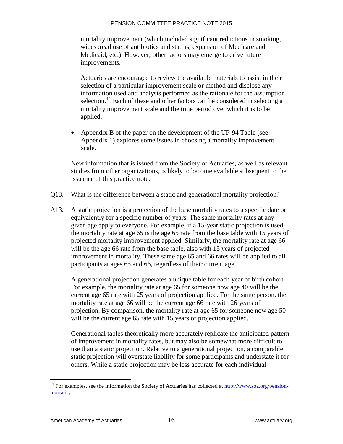mortality improvement (which included significant reductions in smoking, widespread use of antibiotics and statins, expansion of Medicare and Medicaid, etc.). However, other factors may emerge to drive future improvements.

Actuaries are encouraged to review the available materials to assist in their selection of a particular improvement scale or method and disclose any information used and analysis performed as the rationale for the assumption selection.<sup>[11](#page-19-0)</sup> Each of these and other factors can be considered in selecting a mortality improvement scale and the time period over which it is to be applied.

• Appendix B of the paper on the development of the UP-94 Table (see Appendix 1) explores some issues in choosing a mortality improvement scale.

New information that is issued from the Society of Actuaries, as well as relevant studies from other organizations, is likely to become available subsequent to the issuance of this practice note.

- Q13. What is the difference between a static and generational mortality projection?
- A13. A static projection is a projection of the base mortality rates to a specific date or equivalently for a specific number of years. The same mortality rates at any given age apply to everyone. For example, if a 15-year static projection is used, the mortality rate at age 65 is the age 65 rate from the base table with 15 years of projected mortality improvement applied. Similarly, the mortality rate at age 66 will be the age 66 rate from the base table, also with 15 years of projected improvement in mortality. These same age 65 and 66 rates will be applied to all participants at ages 65 and 66, regardless of their current age.

A generational projection generates a unique table for each year of birth cohort. For example, the mortality rate at age 65 for someone now age 40 will be the current age 65 rate with 25 years of projection applied. For the same person, the mortality rate at age 66 will be the current age 66 rate with 26 years of projection. By comparison, the mortality rate at age 65 for someone now age 50 will be the current age 65 rate with 15 years of projection applied.

Generational tables theoretically more accurately replicate the anticipated pattern of improvement in mortality rates, but may also be somewhat more difficult to use than a static projection. Relative to a generational projection, a comparable static projection will overstate liability for some participants and understate it for others. While a static projection may be less accurate for each individual

<span id="page-19-0"></span><sup>&</sup>lt;sup>11</sup> For examples, see the information the Society of Actuaries has collected at **http://www.soa.org/pension**[mortality](http://www.soa.org/pension-mortality).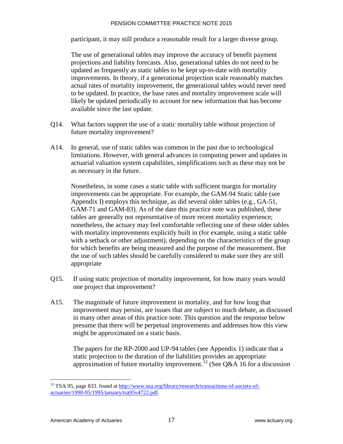participant, it may still produce a reasonable result for a larger diverse group.

The use of generational tables may improve the accuracy of benefit payment projections and liability forecasts. Also, generational tables do not need to be updated as frequently as static tables to be kept up-to-date with mortality improvements. In theory, if a generational projection scale reasonably matches actual rates of mortality improvement, the generational tables would never need to be updated. In practice, the base rates and mortality improvement scale will likely be updated periodically to account for new information that has become available since the last update.

- Q14. What factors support the use of a static mortality table without projection of future mortality improvement?
- A14. In general, use of static tables was common in the past due to technological limitations. However, with general advances in computing power and updates in actuarial valuation system capabilities, simplifications such as these may not be as necessary in the future.

Nonetheless, in some cases a static table with sufficient margin for mortality improvements can be appropriate. For example, the GAM-94 Static table (see Appendix I) employs this technique, as did several older tables (e.g., GA-51, GAM-71 and GAM-83). As of the date this pract[ic](#page-20-0)e note was published, these tables are generally not representative of more recent mortality experience; nonetheless, the actuary may feel comfortable reflecting one of these older tables with mortality improvements explicitly built in (for example, using a static table with a setback or other adjustment), depending on the characteristics of the group for which benefits are being measured and the purpose of the measurement. But the use of such tables should be carefully considered to make sure they are still appropriate

- Q15. If using static projection of mortality improvement, for how many years would one project that improvement?
- A15. The magnitude of future improvement in mortality, and for how long that improvement may persist, are issues that are subject to much debate, as discussed in many other areas of this practice note. This question and the response below presume that there will be perpetual improvements and addresses how this view might be approximated on a static basis.

The papers for the RP-2000 and UP-94 tables (see Appendix 1) indicate that a static projection to the duration of the liabilities provides an appropriate approximation of future mortality improvement.<sup>12</sup> (See Q&A 16 for a discussion

<span id="page-20-0"></span><sup>&</sup>lt;sup>12</sup> TSA 95, page 833. found at [http://www.soa.org/library/research/transactions-of-society-of](http://www.soa.org/library/research/transactions-of-society-of-actuaries/1990-95/1995/january/tsa95v4721.pdf)[actuaries/1990-95/1995/january/tsa95v4722.pdf.](http://www.soa.org/library/research/transactions-of-society-of-actuaries/1990-95/1995/january/tsa95v4721.pdf)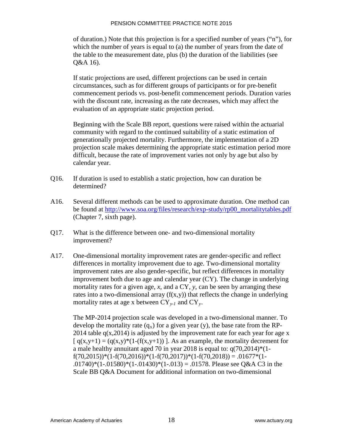of duration.) Note that this projection is for a specified number of years ("n"), for which the number of years is equal to (a) the number of years from the date of the table to [the measurement date, plus \(b\) the duration of the liabilities](http://www.soa.org/files/research/exp-study/rp00_mortalitytables.pdf) (see Q&A 16).

If static projections are used, different projections can be used in certain circumstances, such as for different groups of participants or for pre-benefit commencement periods vs. post-benefit commencement periods. Duration varies with the discount rate, increasing as the rate decreases, which may affect the evaluation of an appropriate static projection period.

Beginning with the Scale BB report, questions were raised within the actuarial community with regard to the continued suitability of a static estimation of generationally projected mortality. Furthermore, the implementation of a 2D projection scale makes determining the appropriate static estimation period more difficult, because the rate of improvement varies not only by age but also by calendar year.

- Q16. If duration is used to establish a static projection, how can duration be determined?
- A16. Several different methods can be used to approximate duration. One method can be found at http://www.soa.org/files/research/exp-study/rp00\_mortalitytables.pdf (Chapter 7, sixth [pa](#page-21-0)ge).
- Q17. What is the difference between one- and two-dimensional mortality improvement?
- A17. One-dimensional mortality improvement rates are gender-specific and reflect differences in mortality improvement due to age. Two-dimensional [m](#page-21-1)ortality improvement rates are also gender-specific, but reflect differences in mortality improvement both due to age and calendar year  $(CY)$ . The change in underlying mortality rates for a given age, *x*, and a CY, *y*, can be seen by arranging these rates into a two-dimensional array  $(f(x,y))$  that reflects the change in underlying mortality rates at age x between CY*y-1* and CY*y*.

<span id="page-21-1"></span><span id="page-21-0"></span>The MP-2014 projection scale was developed in a two-dimensional manner. To develop the mortality rate  $(q_x)$  for a given year (y), the base rate from the RP-2014 table  $q(x,2014)$  is adjusted by the improvement rate for each year for age x  $[q(x,y+1) = (q(x,y) * (1 - (f(x,y+1)))]$ . As an example, the mortality decrement for a male healthy annuitant aged 70 in year 2018 is equal to:  $q(70,2014)*(1$  $f(70,2015))*(1-f(70,2016))*(1-f(70,2017))*(1-f(70,2018)) = .01677*(1-$ .01740)\*(1-.01580)\*(1-.01430)\*(1-.013) = .01578. Please see Q&A C3 in the Scale BB Q&A Document for additional information on two-dimensional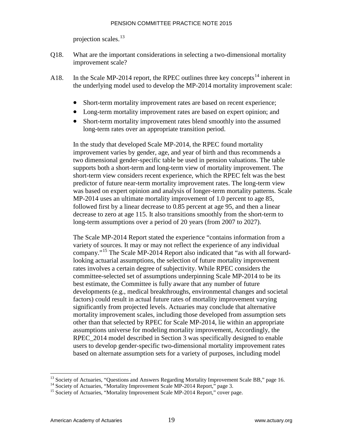projection scales.<sup>13</sup>

- Q18. What are the important considerations in selecting a two-dimensional mortality improvement scale?
- A18. In the Scale MP-2014 report, the RPEC outlines three key concepts<sup>14</sup> inherent in the underlying model used to develop the MP-2014 mortality improvement scale:
	- Short-t[erm](#page-22-0) mortality improvement rates are based on recent experience;
	- Long-term mortality improvement rates are based on expert opinion; and
	- Short-term mortality improvement rates blend smoothly into the assumed long-term rates over an appropriate transition period.

In the study that developed Scale MP-2014, the RPEC found mortality improvement varies by gender, age, and year of birth and thus recommends a two dimensional gender-specific table be used in pension valuations. The table supports both a short-term and long-term view of mortality improvement. The short-term view considers recent experience, which the RPEC felt was the best predictor of future near-term mortality improvement rates. The long-term view was based on expert opinion and analysis of longer-term mortality patterns. Scale MP-2014 uses an ultimate mortality improvement of 1.0 percent to age 85, followed first by a linear decrea[se](#page-22-1) to 0.85 percent at age 95, and then a linear decrease to zero at age 115. It also transitions smoothly from the short-term to long-term assumptions over a period of 20 years (from 2007 to 2027).

The Scale MP-2014 Report stated the experience "contains information from a variety of sources. It may or may not reflect the experience of any individual company."<sup>15</sup> The Scale MP-2014 Report also indicated that "as with all forwardlooking actuarial assumptio[ns,](#page-22-2) the selection of future mortality improvement rates involves a certain degree of subjectivity. While RPEC considers the committee-selected set of assumptions underpinning Scale MP-2014 to be its best estimate, the Committee is fully aware that any number of future developments (e.g., medical breakthroughs, environmental changes and societal factors) could result in actual future rates of mortality improvement varying significantly from projected levels. Actuaries may conclude that alternative mortality improvement scales, including those developed from assumption sets other than that selected by RPEC for Scale MP-2014, lie within an appropriate assumptions universe for modeling mortality improvement, Accordingly, the RPEC\_2014 model described in Section 3 was specifically designed to enable users to develop gender-specific two-dimensional mortality improvement rates based on alternate assumption sets for a variety of purposes, including model

<span id="page-22-2"></span><span id="page-22-1"></span><span id="page-22-0"></span><sup>&</sup>lt;sup>13</sup> Society of Actuaries, "Questions and Answers Regarding Mortality Improvement Scale BB," page 16.<br><sup>14</sup> Society of Actuaries, "[Mortality Improvement Scale MP-2014 Report," page 3.](http://www.soa.org/research/experience-study/group-annuities/resrch-01-02-group-annuity-reprt.aspx)<br><sup>15</sup> [Society of Actuaries, "M](http://www.soa.org/research/experience-study/group-annuities/resrch-01-02-group-annuity-reprt.aspx)ortality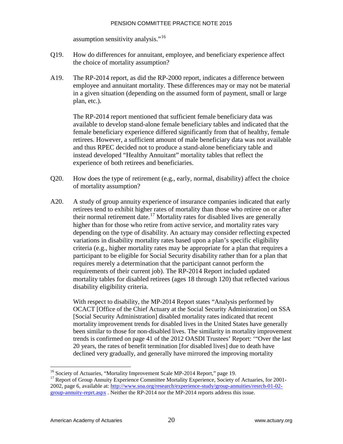assumption sensitivity analysis."<sup>16</sup>

- Q19. How do differences for annuitant, employee, and beneficiary experience affect the choice of mortality assumption?
- A19. The RP-2014 report, as did the RP-2000 report, indicates a difference between employee and annuitant mortality. Th[es](#page-23-0)e differences may or may not be material in a given situation (depending on the assumed form of payment, small or large plan, etc.).

The RP-2014 report mentioned that sufficient female beneficiary data was available to develop stand-alone female beneficiary tables and indicated that the female beneficiary experience differed significantly from that of healthy, female retirees. However, a sufficient amount of male beneficiary data was not avai[lab](#page-23-1)le and thus RPEC decided not to produce a stand-alone beneficiary table and instead developed "Healthy Annuitant" mortality tables that reflect the experience of both retirees and beneficiaries.

- Q20. How does the type of retirement (e.g., early, normal, disability) affect the choice of mortality assumption?
- A20. A study of group annuity experience of insurance companies indicated that early retirees tend to exhibit higher rates of mortality than those who retiree on or after their normal retirement date.<sup>17</sup> Mortality rates for disabled lives are generally higher than for those who retire from active service, and mortality rates vary depending on the type of disability. An actuary may consider reflecting expected variations in disability mortality rates based upon a pla[n's](#page-23-2) specific eligibility criteria (e.g., higher mortality rates may be appropriate for a plan that requires a participant to be eligible for Social Security disability rather than for a plan that requires merely a determination that the participant cannot perform the requirements of their current job). The RP-2014 Report included updated mortality tables for disabled retirees (ages 18 through 120) that reflected various disability eligibility criteria.

With respect to disability, the MP-2014 Report states "Analysis performed by OCACT [Office of the Chief Actuary at the Social Security Administration] on SSA [Social Security Administration] disabled mortality rates indicated that recent mortality improvement trends for disabled lives in the United States have generally been similar to those for non-disabled lives. The similarity in mortality improvement trends is confirmed on page 41 of the 2012 OASDI Trustees' Report: '"Over the last 20 years, the rates of benefit termination [for disabled lives] due to death have declined very gradually, and generally have mirrored the improving mortality

<sup>&</sup>lt;sup>16</sup> Society of Actuaries, "Mortality Improvement Scale MP-2014 Report," page 19.

<span id="page-23-2"></span><span id="page-23-1"></span><span id="page-23-0"></span><sup>&</sup>lt;sup>17</sup> Report of Group Annuity Experience Committee Mortality Experience, Society of Actuaries, for 2001-2002, page 6, available at: http://www.soa.org/research/experience-study/group-annuities/resrch-01-02 group-annuity-reprt.aspx . Neither the RP-2014 nor the MP-2014 reports address this issue.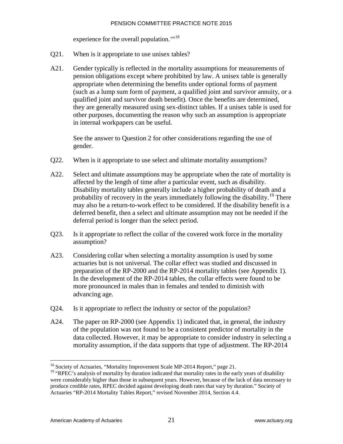experience for the overall population."<sup>18</sup>

- Q21. When is it appropriate to use unisex tables?
- A21. Gender typically is reflected in the mortality assumptions for measurements of pension obligations except where prohibited by law. A unisex table is generally appropriate when determining the benefits under optional forms of payment (such as a lump sum form of payment, a qualified joint and survivor annuity, or a qualified joint and survivor death benefit). Once the benefits are determined, they are generally measured using sex-distinct tables. If a unisex table is used for other purposes, documenting the reason why such an assumption is appropriate in internal workpapers can be useful.

See the answer to Question 2 for other considerations regarding the use of gender.

- Q22. [When is it appropriate to use select and ultimate mortality assumptions?](http://www.soa.org/research/experience-study/pension/research-2014-rp.aspx)
- A22. Select and ultimate assumptions may be appropriate when the rate of mortality is affected by the length of time after a particular event, such as disability. Disability mortality tables generally include a higher probability of death and a probability of recovery in the years immediately following the disability.<sup>19</sup> There may also be a return-to-work effect to be considered. If the disability benefit is a deferred benefit, then a select and ultimate assumption may not be needed if the deferral period is longer than the select period.
- Q23. Is it appropriate to reflect the collar of the covered work force in the mortality assumption?
- A23. Considering collar when selecting a mortality assumption is used by some actuaries but is not universal. The collar effect was studied and discussed in preparation of the RP-2000 and the RP-2014 mortality tables (see Appendix 1). In the development of the RP-2014 tables, the collar effects were found to be more pronounced in males than in females and tended to diminish with advancing age.
- Q24. Is it appropriate to reflect the industry or sector of the population?
- A24. The paper on RP-2000 (see Appendix 1) indicated that, in general, the industry of the population was not found to be a consistent predictor of mortality in the data collected. However, it may be appropriate to consider industry in selecting a mortality assumption, if the data supports that type of adjustment. The RP-2014

<sup>&</sup>lt;sup>18</sup> Society of Actuaries, "Mortality Improvement Scale MP-2014 Report," page 21.

<sup>&</sup>lt;sup>19</sup> "RPEC's analysis of mortality by duration indicated that mortality rates in the early years of disability were considerably higher than those in subsequent years. However, because of the lack of data necessary to produce credible rates, RPEC decided against developing death rates that vary by duration." Society of Actuaries "RP-2014 Mortality Tables Report," revised November 2014, Section 4.4.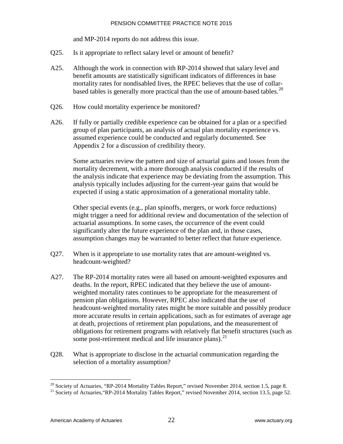and MP-2014 reports do not address this issue.

- Q25. Is it appropriate to reflect salary level or amount of benefit?
- A25. Although the work in connection with RP-2014 showed that salary level and benefit amounts are statistically significant indicators of differences in base mortality rates for nondisabled lives, the RPEC believes that the use of collarbased tables is generally more practical than the use of amount-based tables.<sup>20</sup>
- Q26. How could mortality experience be monitored?
- A26. If fully or partially credible experience can be obtained for a plan or a specified group of plan participants, an analysis of actual plan mortality experience vs. assumed experience could be conducted and regularly documented. See Appendix 2 for a discussion of credibility theory.

Some actuaries review the pattern and size of actuarial gains and losses from the mortality decrement, with a more thorough analysis conducted if the results of the analysis indicate that experience may be deviating from the assumption. This analysis typically includes adjusting for the current-year gains that would be expected if using a static approximation of a generational mortality table.

Other special events (e.g., plan spinoffs, mergers, or work force reductions) might trigger a need for additional review and documentation of the selection of actuarial assumptions. In some cases, the occurrence of the event could significantly alter the future experience of the plan and, in those cases, assumption changes may be warranted to better reflect that future experience.

- Q27. When is it appropriate to use mortality rates that are amount-weighted vs. headcount-weighted?
- A27. The RP-2014 mortality rates were all based on amount-weighted exposures and deaths. In the report, RPEC indicated that they believe the use of amountweighted mortality rates continues to be appropriate for the measurement of pension plan obligations. However, RPEC also indicated that the use of headcount-weighted mortality rates might be more suitable and possibly produce more accurate results in certain applications, such as for estimates of average age at death, projections of retirement plan populations, and the measurement of obligations for retirement programs with relatively flat benefit structures (such as some post-retirement medical and life insurance plans).<sup>21</sup>
- Q28. What is appropriate to disclose in the actuarial communication regarding the selection of a mortality assumption?

<sup>&</sup>lt;sup>20</sup> Society of Actuaries, "RP-2014 Mortality Tables Report," revised November 2014, section 1.5, page 8.

<sup>&</sup>lt;sup>21</sup> Society of Actuaries, "RP-2014 Mortality Tables Report," revised November 2014, section 13.5, page 52.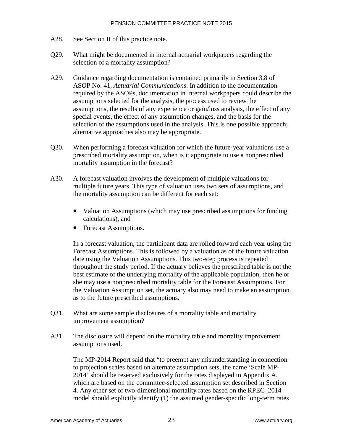- A28. See Section II of this practice note.
- Q29. What might be documented in internal actuarial workpapers regarding the selection of a mortality assumption?
- A29. Guidance regarding documentation is contained primarily in Section 3.8 of ASOP No. 41, *Actuarial Communications*. In addition to the documentation required by the ASOPs, documentation in internal workpapers could describe the assumptions selected for the analysis, the process used to review the assumptions, the results of any experience or gain/loss analysis, the effect of any special events, the effect of any assumption changes, and the basis for the selection of the assumptions used in the analysis. This is one possible approach; alternative approaches also may be appropriate.
- Q30. When performing a f[or](#page-26-0)ecast valuation for which the future-year valuations use a prescribed mortality assumption, when is it appropriate to use a nonprescribed mortality assumption in the forecast?
- A30. A forecast valuation involves the development of multiple valuations for multiple future years. This type of valuation uses two sets of assumptions, and the mortality assumption can be different for each set:
	- Valuation Assumptions (which may use prescribed assumptions for funding calculations), and
	- Forecast Assumptions.

In a forecast valuation, the participant data are rolled forward each year using the Forecast Assumptions. This is followed by a valuation as of the future valuation date using the Valuation Assumptions. This two-step process is repeated throughout the study period. If the actuary believes the prescribed table is not the best estimate of the underlying mortality of the applicable population, then he or she may use a nonprescribed mortality table for the Forecast Assumptions. For the Valuation Assumption set, the actuary also may need to make an assumption as to the future prescribed assumptions.

- Q31. What are some sample disclosures of a mortality table and mortality improvement assumption?
- <span id="page-26-0"></span>A31. The disclosure will depend on the mortality table and mortality improvement assumptions used.

The MP-2014 Report said that "to preempt any misunderstanding in connection to projection scales based on alternate assumption sets, the name 'Scale MP-2014' should be reserved exclusively for the rates displayed in Appendix A, which are based on the committee-selected assumption set described in Section 4. Any other set of two-dimensional mortality rates based on the RPEC\_2014 model should explicitly identify (1) the assumed gender-specific long-term rates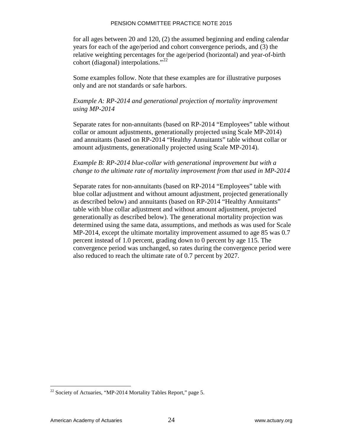for all ages between 20 and 120, (2) the assumed beginning and ending calendar years for each of the age/period and cohort convergence periods, and (3) the relative weighting percentages for the age/period (horizontal) and year-of-birth cohort (diagonal) interpolations."<sup>22</sup>

Some examples follow. Note that these examples are for illustrative purposes [only and are not standards or safe harbors.](http://www.soa.org/research/experience-study/pension/research-rp-2000-mortality-tables.aspx) 

### *[Example A](http://www.soa.org/research/experience-study/pension/research-rp-2000-mortality-tables.aspx): RP-2014 and generational projection of mortality improvement [using MP-2014](http://www.soa.org/professional-interests/pension/resources/pen-mortality-resources.aspx)*

[Separate rates](http://www.soa.org/professional-interests/pension/resources/pen-mortality-resources.aspx) for non-annuitants (based on RP-2014 "Employees" table without collar or amount adjustments, generationally projected using Scale MP-2014) and annuitants (based on RP-2014 "Healthy Annuitants" table without collar or amount adjustments, generationally projected using Scale MP-2014).

## *Example B: RP-2014 blue-collar with generational improvement but with a change to the ultimate rate of mortality improvement from that used in MP-2014*

Separate rates for non-annuitants (based on RP-2014 "Employees" table with blue collar adjustment and without amount adjustment, projected generationally as described below) and annuitants (based on RP-2014 "Healthy Annuitants" table with blue collar adjustment and without amount adjustment, projected generationally as described below). The generational mortality projection was determined using the same data, assumptions, and methods as was used for Scale MP-2014, except the ultimate mortality improvement assumed to age 85 was 0.7 percent instead of 1.0 percent, grading down to 0 percent by age 115. The convergence period was unchanged, so rates during the convergence period were also reduced to reach the ultimate rate of 0.7 percent by 2027.

 $\overline{a}$  $22$  Society of Actuaries, "MP-2014 Mortality Tables Report," page 5.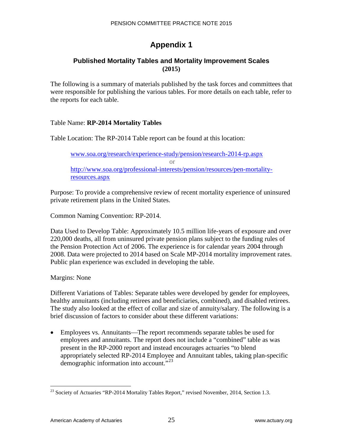# **Appendix 1**

# **Published Mortality Tables and Mortality Improvement Scales (2015)**

The following is a summary of materials published by the task forces and committees that were responsible for publishing the various tables. For more details on each table, refer to the reports for each table.

# Table Name: **RP-2014 Mortality Tables**

Table Location: The RP-2014 Table report can be found at this location:

www.soa.org/research/experience-study/pension/research-2014-rp.aspx or http://www.soa.org/professional-interests/pension/resources/pen-mortalityresources.aspx

Purpose: To provide a comprehensive review of recent mortality experience of uninsured private retirement plans in the United States.

Common Naming Convention: RP-2014.

Data Used to Develop Table: Approximately 10.5 million life-years of exposure and over 220,000 deaths, all from uninsured private pension plans subject to the funding rules of the Pension Protection Act of 2006. The experience is for calendar years 2004 through 2008. Data were projected to 2014 based on Scale MP-2014 mortality improvement rates. Public plan experience was excluded in developing the table.

Margins: None

Different Variations of Tables: Separate tables were developed by gender for employees, healthy annuitants (including retirees and beneficiaries, combined), and disabled retirees. The study also looked at the effect of collar and size of annuity/salary. The following is a brief discussion of factors to consider about these different variations:

• Employees vs. Annuitants—The report recommends separate tables be used for employees and annuitants. The report does not include a "combined" table as was present in the RP-2000 report and instead encourages actuaries "to blend appropriately selected RP-2014 Employee and Annuitant tables, taking plan-specific demographic information into account."<sup>23</sup>

 $\overline{a}$  $23$  Society of Actuaries "RP-2014 Mortality Tables Report," revised November, 2014, Section 1.3.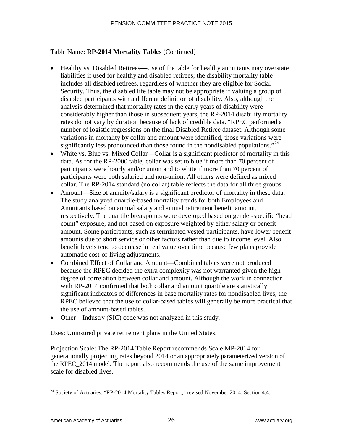# Table Name: **RP-2014 Mortality Tables** (Continued)

- Healthy vs. Disabled Reti[re](#page-29-0)es—Use of the table for healthy annuitants may overstate liabilities if used for healthy and disabled retirees; the disability mortality table includes all disabled retirees, regardless of whether they are eligible for Social Security. Thus, the disabled life table may not be appropriate if valuing a group of disabled participants with a different definition of disability. Also, although the analysis determined that mortality rates in the early years of disability were considerably higher than those in subsequent years, the RP-2014 disability mortality rates do not vary by duration because of lack of credible data. "RPEC performed a number of logistic regressions on the final Disabled Retiree dataset. Although some variations in mortality by collar and amount were identified, those variations were significantly less pronounced than those found in the nondisabled populations."<sup>24</sup>
- White vs. Blue vs. Mixed Collar—Collar is a significant predictor of mortality in this data. As for the RP-2000 table, collar was set to blue if more than 70 percent of participants were hourly and/or union and to white if more than 70 percent of participants were both salaried and non-union. All others were defined as mixed collar. The RP-2014 standard (no collar) table reflects the data for all three groups.
- Amount—Size of annuity/salary is a significant predictor of mortality in these data. The study analyzed quartile-based mortality trends for both Employees and Annuitants based on annual salary and annual retirement benefit amount, respectively. The quartile breakpoints were developed based on gender-specific "head count" exposure, and not based on exposure weighted by either salary or benefit amount. Some participants, such as terminated vested participants, have lower benefit amounts due to short service or other factors rather than due to income level. Also benefit levels tend to decrease in real value over time because few plans provide automatic cost-of-living adjustments.
- Combined Effect of Collar and Amount—Combined tables were not produced because the RPEC decided the extra complexity was not warranted given the high degree of correlation between collar and amount. Although the work in connection with RP-2014 confirmed that both collar and amount quartile are statistically significant indicators of differences in base mortality rates for nondisabled lives, the RPEC believed that the use of collar-based tables will generally be more practical that the use of amount-based tables.
- Other—Industry (SIC) code was not analyzed in this study.

Uses: Uninsured private retirement plans in the United States.

Projection Scale: The RP-2014 Table Report recommends Scale MP-2014 for generationally projecting rates beyond 2014 or an appropriately parameterized version of the RPEC\_2014 model. The report also recommends the use of the same improvement scale for disabled lives.

<span id="page-29-0"></span> $\overline{a}$  $24$  Society of Actuaries, "RP-2014 Mortality Tables Report," revised November 2014, Section 4.4.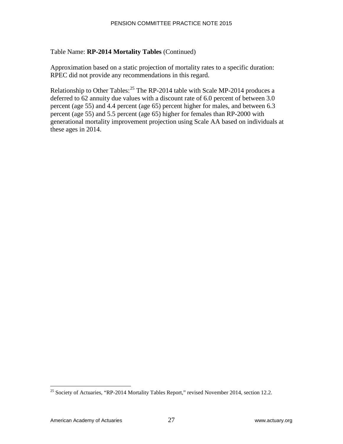# Table Name: **RP-2014 Mortality Tables** (Continued)

Approximation based on a static projection of mortality rates to a specific duration: RPEC did not provide any recommendations in this regard.

Relationship to Other Tables:  $25$  The RP-2014 table with Scale MP-2014 produces a [deferred to 62 annuity due values with a discount rate of 6.0 percent](http://www.soa.org/library/research/transactions-of-society-of-actuaries/1990-95/1995/january/tsa95v4721.pdf) of between 3.0 [percent \(age 55\) and 4.4 percent](http://www.soa.org/library/research/transactions-of-society-of-actuaries/1990-95/1995/january/tsa95v4721.pdf) (age 65) percent higher for males, and between 6.3 percent (age 55) and 5.5 percent (age 65) higher for females than RP-2000 with generational mortality improvement projection using Scale AA based on individuals at these ages in 2014.

 $\overline{a}$ <sup>25</sup> Society of Actuaries, "RP-2014 Mortality Tables Report," revised November 2014, section 12.2.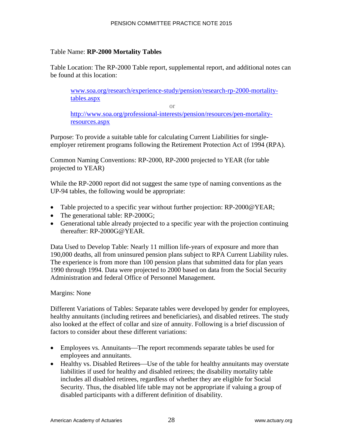### Table Name: **RP-2000 Mortality Tables**

Table Location: The RP-2000 Table report, supplemental report, and additional notes can be found at this location:

www.soa.org/research/experience-study/pension/research-rp-2000-mortalitytables.aspx

or

http://www.soa.org/professional-interests/pension/resources/pen-mortalityresources.aspx

Purpose: To provide a suitable table for calculating Current Liabilities for singleemployer retirement programs following the Retirement Protection Act of 1994 (RPA).

Common Naming Conventions: RP-2000, RP-2000 projected to YEAR (for table projected to YEAR)

While the RP-2000 report did not suggest the same type of naming conventions as the UP-94 tables, the following would be appropriate:

- [Table projected to a specific year wit](http://www.soa.org/library/research/transactions-of-society-of-actuaries/1990-95/1995/january/tsa95v4720.pdf)hout further projection: RP-2000@YEAR;
- The generational table: RP-2000G;
- Generational table already projected to a specific year with the projection continuing thereafter: RP-2000G@YEAR.

Data Used to Develop Table: Nearly 11 million life-years of exposure and more than 190,000 deaths, all from uninsured pension plans subject to RPA Current Liability rules. The experience is from more than 100 pension plans that submitted data for plan years 1990 through 1994. Data were projected to 2000 based on data from the Social Security Administration and federal Office of Personnel Management.

# Margins: None

Different Variations of Tables: Separate tables were developed by gender for employees, healthy annuitants (including retirees and beneficiaries), and disabled retirees. The study also looked at the effect of collar and size of annuity. Following is a brief discussion of factors to consider about these different variations:

- Employees vs. Annuitants—The report recommends separate tables be used for employees and annuitants.
- Healthy vs. Disabled Retirees—Use of the table for healthy annuitants may overstate liabilities if used for healthy and disabled retirees; the disability mortality table includes all disabled retirees, regardless of whether they are eligible for Social Security. Thus, the disabled life table may not be appropriate if valuing a group of disabled participants with a different definition of disability.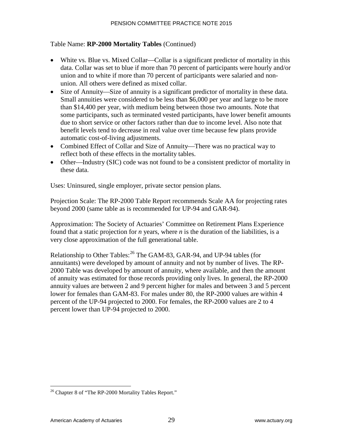# Table Name: **RP-2000 Mortality Tables** (Continued)

- White vs. Blue vs. Mixed Collar—Collar is a significant predictor of mortality in this data. Collar was set to blue if more than 70 percent of participants were hourly and/or union and to white if more than 70 percent of participants were salaried and nonunion. All others were defined as mixed collar.
- Size of Annuity—Size of annuity is a significant predictor of mortality in these data. [Small annuities were considered to be less than \\$6,000 per year and large to be more](http://www.soa.org/library/research/transactions-of-society-of-actuaries/1990-95/1995/january/tsa95v4722.pdf)  [than \\$14,400 per year, with medium](http://www.soa.org/library/research/transactions-of-society-of-actuaries/1990-95/1995/january/tsa95v4722.pdf) being between those two amounts. Note that some participants, such as terminated vested participants, have lower benefit amounts due to short service or other factors rather than due to income level. Also note that benefit levels tend to decrease in real value over time because few plans provide automatic cost-of-living adjustments.
- Combined Effect of Collar and Size of Annuity—There was no practical way to reflect both of these effects in the mortality tables.
- Other—Industry (SIC) code was not found to be a consistent predictor of mortality in these data.

Uses: Uninsured, single employer, private sector pension plans.

Projection Scale: The RP-2000 Table Report recommends Scale AA for projecting rates beyond 2000 (same table as is recommended for UP-94 and GAR-94).

Approximation: The Society of Actuaries' Committee on Retirement Plans Experience found that a static projection for *n* years, where *n* is the duration of the liabilities, is a very close approximation of the full generational table.

Relationship to Other Tables:<sup>26</sup> The GAM-83, GAR-94, and UP-94 tables (for annuitants) were developed by amount of annuity and not by number of lives. The RP-2000 Table was developed by amount of annuity, where available, and then the amount of annuity was estimated for those records providing only lives. In general, the RP-2000 annuity values are between 2 and 9 percent higher for males and between 3 and 5 percent lower for females than GAM-83. For males under 80, the RP-2000 values are within 4 percent of the UP-94 projected to 2000. For females, the RP-2000 values are 2 to 4 percent lower than UP-94 projected to 2000.

 $\overline{a}$  $^{26}$  Chapter 8 of "The RP-2000 Mortality Tables Report."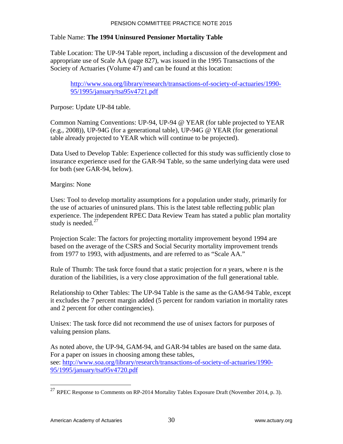### Table Name: **The 1994 Uninsured Pensioner Mortality Table**

Table Location: The UP-94 Table report, including a discussion of the development and appropriate use of Scale AA (page 827), was issued in the 1995 Transactions of the Society of Actuaries (Volume 47) and can be found at this location:

http://www.soa.org/library/research/transactions-of-society-of-actuaries/1990- [95/1995/january/tsa95v4721.pdf](http://www.soa.org/research/experience-study/pension/research-2014-mp.aspx) 

Purpose: Update UP-84 table.

Common Naming Conventions: UP-94, UP-94 @ YEAR (for table projected to YEAR (e.g., 2008)), UP-94G (for a generational table), UP-94G @ YEAR (for generational table already projected to YEAR which will continue to be projected).

Data Used to Develop Table: Experience collected for this study was sufficiently close to insurance experience used for the GAR-94 Table, so the same underlying data were used for both (see GAR-94, below).

Margins: None

Uses: Tool to develop mortality assumptions for a population under study, primarily for the use of actuaries of uninsured plans. This is the latest table reflecting public plan experience. The independent RPEC Data Review Team has stated a public plan mortality study is needed.<sup>27</sup>

Projection Scale: The factors for projecting mortality improvement beyond 1994 are based on the average of the CSRS and Social Security mortality improvement trends from 1977 to 1993, with adjustments, and are referred to as "Scale AA."

Rule of Thumb: The task force found that a static projection for *n* years, where *n* is the duration of the liabilities, is a very close approximation of the full generational table.

Relationship to Other Tables: The UP-94 Table is the same as the GAM-94 Table, except it excludes the 7 percent margin added (5 percent for random variation in mortality rates and 2 percent for other contingencies).

Unisex: The task force did not recommend the use of unisex factors for purposes of valuing pension plans.

As noted above, the UP-94, GAM-94, and GAR-94 tables are based on the same data. For a paper on issues in choosing among these tables, see: http://www.soa.org/library/research/transactions-of-society-of-actuaries/1990- 95/1995/january/tsa95v4720.pdf

<sup>&</sup>lt;sup>27</sup> RPEC Response to Comments on RP-2014 Mortality Tables Exposure Draft (November 2014, p. 3).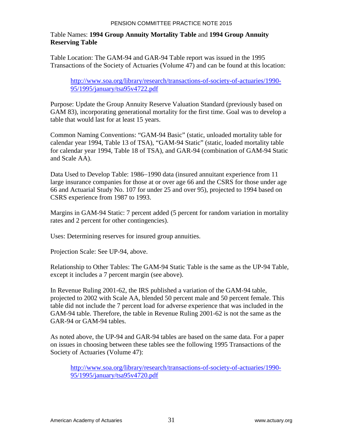# Table Names: **1994 Group Annuity Mortality Table** and **1994 Group Annuity Reserving Table**

Table Location: The GAM-94 and GAR-94 Table report was issued in the 1995 Transactions of the Society of Actuaries (Volume 47) and can be found at this location:

http://www.soa.org/library/research/transactions-of-society-of-actuaries/1990- 95/1995/january/tsa95v4722.pdf

Purpose: Update the Group Annuity Reserve Valuation Standard (previously based on GAM 83), incorporating generational mortality for the first time. Goal was to develop a table that would last for at least 15 years.

Common Naming Conventions: "GAM-94 Basic" (static, unloaded mortality table for calendar year 1994, Table 13 of TSA), "GAM-94 Static" (static, loaded mortality table for calendar year 1994, Table 18 of TSA), and GAR-94 (combination of GAM-94 Static and Scale AA).

Data Used to Develop Table: 1986−1990 data (insured annuit[ant](#page-34-0) experience from 11 large insurance companies for those at or over age 66 and the CSRS for those under age 66 and Actuarial Study No. 107 for under 25 and over 95), projected to 1994 based on CSRS experience from 1987 to 1993.

Margins in GAM-94 Static: 7 percent added (5 percent for random variation in mortality rates and 2 percent for other contingencies).

Uses: Determining reserves for insured group annuities.

Projection Scale: See UP-94, above.

Relationship to Other Tables: The GAM-94 Static Table is the same as the UP-94 Table, except it includes a 7 percent margin (see above).

In Revenue Ruling 2001-62, the IRS published a variation of the GAM-94 table, projected to 2002 with Scale AA, blended 50 percent male and 50 percent female. This table did not include the 7 percent load for adverse experience that was included in the GAM-94 table. Therefore, the table in Revenue Ruling 2001-62 is not the same as the GAR-94 or GAM-94 tables.

As noted above, the UP-94 and GAR-94 tables are based on the same data. For a paper on issues in choosing between these tables see the following 1995 Transactions of the Society of Actuaries (Volume 47):

<span id="page-34-0"></span>http://www.soa.org/library/research/transactions-of-society-of-actuaries/1990- 95/1995/january/tsa95v4720.pdf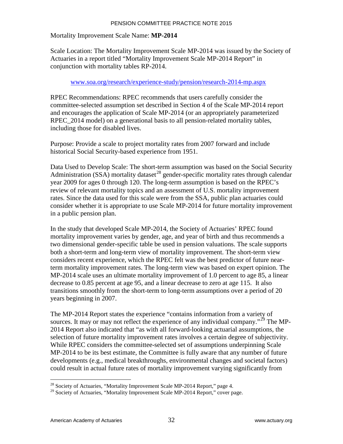#### Mortality Improvement Scale Name: **MP-2014**

Scale Location: The Mortality Improvement Scale MP-2014 was issued by the Society of Actuaries in a report titled "Mortality Improvement Scale MP-2014 Report" in conjunction with mortality tables RP-2014.

#### www.soa.org/research/experience-study/pension/research-2014-mp.aspx

[RPEC Recommendations: RPEC recommends that](http://www.soa.org/professional-interests/pension/resources/pen-mortality-resources.aspx) users carefully consider the [committee-selected ass](http://www.soa.org/professional-interests/pension/resources/pen-mortality-resources.aspx)umption set described in Section 4 of the Scale MP-2014 report and encourages the application of Scale MP-2014 (or an appropriately parameterized RPEC 2014 model) on a generational basis to all pension-related mortality tables, [including those for disabl](http://www.soa.org/Research/Experience-Study/Pension/research-mortality-improve-bb.aspx)ed lives.

Purpose: Provide a scale to project mortality rates from 2007 forward and include historical Social Security-based experience from 1951.

Data Used to Develop Scale: The short-term assumption was based on the Social Security Administration (SSA) mortality dataset<sup>28</sup> gender-specific mortality rates through calendar year 2009 for ages 0 through 120. The long-term assumption is based on the RPEC's review of relevant mortality topics and an assessment of U.S. mortality improvement rates. Since the data used for this scale were from the SSA, public plan actuaries could consider whether it is appropriate to use Scale MP-2014 for future mortality improvement in a public pension plan.

In the study that developed Scale MP-2014, the Society of Actuaries' RPEC found mortality improvement varies by gender, age, and year of birth and thus recommends a two dimensional gender-specific table be used in pension valuations. The scale supports both a short-term and long-term view of mortality improvement. The short-term view considers recent experience, which the RPEC felt was the best predictor of future nearterm mortality improvement rates. The long-term view was based on expert opinion. The MP-2014 scale [uses an ultimate mortality improvement of 1.0 percent to a](http://www.soa.org/Files/Xls/research-full2d-mi-rates.xls)ge 85, a linear decrease to 0.85 percent at age 95, and a linear decrease to zero at age 115. It also transitions smoothly from the short-term to long-term assumptions over a period of 20 years beginning in 2007.

The MP-2014 Report states the experience "contains information from a variety of sources. It may or may not reflect the experience of any individual company."<sup>29</sup> The MP-2014 Report also indicated that "as with all forward-looking actuarial assumptions, the selection of future mortality improvement rates involves a certain degree of subjectivity. While RPEC considers the committee-selected set of assumptions underpinning Scale MP-2014 to be its best estimate, the Committee is fully aware that any number of future developments (e.g., medical breakthroughs, environmental changes and societal factors) could result in actual future rates of mortality improvement varying significantly from

 $28$  Society of Actuaries, "Mortality Improvement Scale MP-2014 Report," page 4.

<sup>&</sup>lt;sup>29</sup> Society of Actuaries, "Mortality Improvement Scale MP-2014 Report," cover page.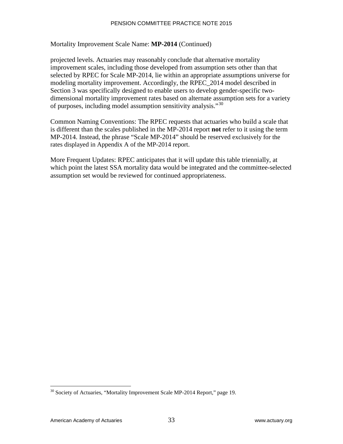#### Mortality Improvement Scale Name: **MP-2014** (Continued)

projected levels. Actuaries may reasonably conclude that alternative mortality improvement scales, including those developed from assumption sets other than that selected by RPEC for Scale MP-2014, lie within an appropriate assumptions universe for modeling mortality improvement. Accordingly, the RPEC\_2014 model described in Section 3 was specifically designed to enable users to develop gender-specific two[dimensional mortality improvement rates based on alternate assumption sets for a variety](http://www.soa.org/library/research/transactions-of-society-of-actuaries/1990-95/1995/january/tsa95v4722.pdf)  [of purposes, including model assumption](http://www.soa.org/library/research/transactions-of-society-of-actuaries/1990-95/1995/january/tsa95v4722.pdf) sensitivity analysis."<sup>30</sup>

Common Naming Conventions: The RPEC requests that actuaries who build a scale that is different than the scales published in the MP-2014 report **not** refer to it using the term MP-2014. Instead, the phrase "Scale MP-2014" should be reserved exclusively for the rates displayed in Appendix A of the MP-2014 report.

[More Frequent Updates: RPEC anticipate](http://www.soa.org/library/research/transactions-of-society-of-actuaries/1990-95/1995/january/tsa95v4721.pdf)s that it will update this table triennially, at which point the latest SSA mortality data would be integrated and the committee-selected assumption set would be reviewed for continued appropriateness.

<sup>&</sup>lt;sup>30</sup> Society of Actuaries, "Mortality Improvement Scale MP-2014 Report," page 19.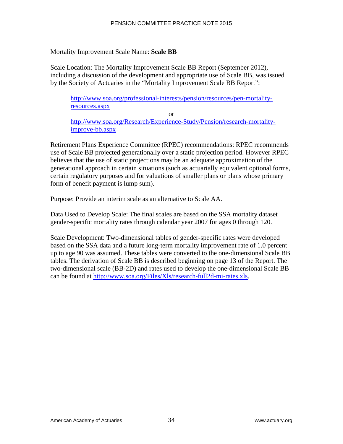#### Mortality Improvement Scale Name: **Scale BB**

Scale Location: The Mortality Improvement Scale BB Report (September 2012), including a discussion of the development and appropriate use of Scale BB, was issued by the Society of Actuaries in the "Mortality Improvement Scale BB Report":

http://www.soa.org/professional-interests/pension/resources/pen-mortalityresources.aspx

or http://www.soa.org/Research/Experience-Study/Pension/research-mortalityimprove-bb.aspx

Retire[ment Plans Experience Committee \(RPEC\) recommendations: RPEC re](http://www.actuarialstandardsboard.org/pdf/asops/asop025_174.pdf)commends use of Scale BB projected generationally over a static projection period. However RPEC believes that the use of static projections may be an adequate approximation of the generational approach in certain situations (such as actuarially equivalent optional forms, certain regulatory purposes and for valuations of smaller plans or plans whose primary form of benefit payment is lump sum).

Purpose: Provide an interim scale as an alternative to Scale AA.

Data Used to Develop Scale: The final scales are based on the SSA mortality dataset gender-specific mortality rates through calendar year 2007 for ages 0 through 120.

Scale Development: Two-dimensional tables of gender-specific rates were developed based on the SSA data and a future long-term mortality improvement rate of 1.0 percent up to age 90 was assumed. These tables were converted to the one-dimensional Scale BB tables. The derivation of Scale BB is described beginning on page 13 of the Report. The two-dimensional scale (BB-2D) and rates used to develop the one-dimensional Scale BB can be found at http://www.soa.org/Files/Xls/research-full2d-mi-rates.xls.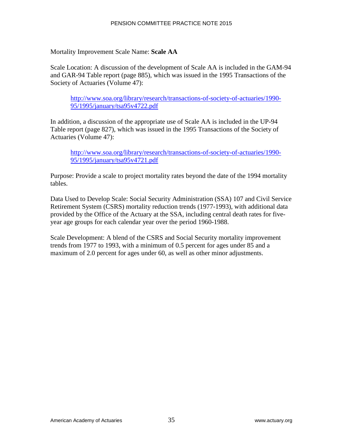### Mortality Improvement Scale Name: **Scale AA**

Scale Location: A discussion of the development of Scale AA is included in the GAM-94 and GAR-94 Table report (page 885), which was issued in the 1995 Transactions of the Society of Actuaries (Volume 47):

http://www.soa.org/library/research/transactions-of-society-of-actuaries/1990- 95/1995/january/tsa95v4722.pdf

In addition, a discussion of the appropriate use of Scale AA is included in the UP-94 Table report (page 827), which was issued in the 1995 Transactions of the Society of Actuaries (Volume 47):

http://www.soa.org/library/research/transactions-of-society-of-actuaries/1990- 95/1995/january/tsa95v4721.pdf

Purpose: Provide a scale to project mortality rates beyond the date of the 1994 mortality tables.

Data Used to Develop Scale: Social Security Administration (SSA) 107 and Civil Service Retirement System (CSRS) mortality reduction trends (1977-1993), with additional data provided by the Office of the Actuary at the SSA, including central death rates for fiveyear age groups for each calendar year over the period 1960-1988.

Scale Development: A blend of the CSRS and Social Security mortality improvement trends from 1977 to 1993, with a minimum of 0.5 percent for ages under 85 and a maximum of 2.0 percent for ages under 60, as well as other minor adjustments.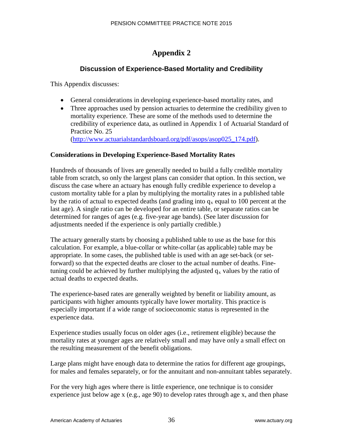# **Appendix 2**

# **Discussion of Experience-Based Mortality and Credibility**

This Appendix discusses:

- General considerations in developing experience-based mortality rates, and
- Three approaches used by pension actuaries to determine the credibility given to mortality experience. These are some of the methods used to determine the credibility of experience data, as outlined in Appendix 1 of Actuarial Standard of Practice No. 25 (http://www.actuarialstandardsboard.org/pdf/asops/asop025\_174.pdf).

### **Considerations in Developing Experience-Based Mortality Rates**

Hundreds of thousands of lives are generally needed to build a fully credible mortality table from scratch, so only the largest plans can consider that option. In this section, we discuss the case where an actuary has enough fully credible experience to develop a custom mortality table for a plan by multiplying the mortality rates in a published table by the ratio of actual to expected deaths (and grading into  $q_x$  equal to 100 percent at the last age). A single ratio can be developed for an entire table, or separate ratios can be determined for ranges of ages (e.g. five-year age bands). (See later discussion for adjustments needed if the experience is only partially credible.)

The actuary generally starts by choosing a published table to use as the base for this calculation. For example, a blue-collar or white-collar (as applicable) table may be appropriate. In some cases, the published table is used with an age set-back (or setforward) so that the expected deaths are closer to the actual number of deaths. Finetuning could be achieved by further multiplying the adjusted  $q_x$  values by the ratio of actual deaths to expected deaths.

The experience-based rates are generally weighted by benefit or liability amount, as participants with higher amounts typically have lower mortality. This practice is especially important if a wide range of socioeconomic status is represented in the experience data.

Experience studies usually focus on older ages (i.e., retirement eligible) because the mortality rates at younger ages are relatively small and may have only a small effect on the resulting measurement of the benefit obligations.

Large plans might have enough data to determine the ratios for different age groupings, for males and females separately, or for the annuitant and non-annuitant tables separately.

For the very high ages where there is little experience, one technique is to consider experience just below age x (e.g., age 90) to develop rates through age x, and then phase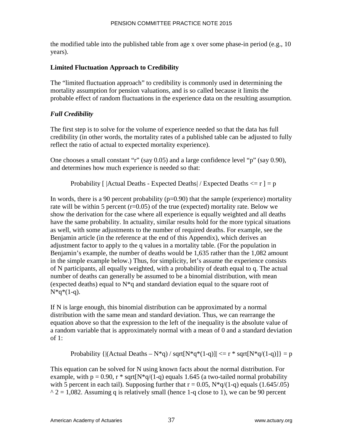the modified table into the published table from age x over some phase-in period (e.g., 10 years).

# **Limited Fluctuation Approach to Credibility**

The "limited fluctuation approach" to credibility is commonly used in determining the mortality assumption for pension valuations, and is so called because it limits the probable effect of random fluctuations in the experience data on the resulting assumption.

# *Full Credibility*

The first step is to solve for the volume of experience needed so that the data has full credibility (in other words, the mortality rates of a published table can be adjusted to fully reflect the ratio of actual to expected mortality experience).

One chooses a small constant "r" (say 0.05) and a large confidence level "p" (say 0.90), and determines how much experience is needed so that:

Probability  $\lceil$  |Actual Deaths - Expected Deaths| / Expected Deaths  $\lt = r$  | = p

In words, there is a 90 percent probability  $(p=0.90)$  that the sample (experience) mortality rate will be within 5 percent  $(r=0.05)$  of the true (expected) mortality rate. Below we show the derivation for the case where all experience is equally weighted and all deaths have the same probability. In actuality, similar results hold for the more typical situations as well, with some adjustments to the number of required deaths. For example, see the Benjamin article (in the reference at the end of this Appendix), which derives an adjustment factor to apply to the q values in a mortality table. (For the population in Benjamin's example, the number of deaths would be 1,635 rather than the 1,082 amount in the simple example below.) Thus, for simplicity, let's assume the experience consists of N participants, all equally weighted, with a probability of death equal to q. The actual number of deaths can generally be assumed to be a binomial distribution, with mean (expected deaths) equal to  $N^*q$  and standard deviation equal to the square root of  $N^*q^*(1-q)$ .

If N is large enough, this binomial distribution can be approximated by a normal distribution with the same mean and standard deviation. Thus, we can rearrange the equation above so that the expression to the left of the inequality is the absolute value of a random variable that is approximately normal with a mean of 0 and a standard deviation of 1:

Probability  $\{|(\text{Actual deaths} - N^*q)/\sqrt{sqrt(N^*q^*(1-q)}| \leq r^* \sqrt{N^*q/(1-q)}|\} = p$ 

This equation can be solved for N using known facts about the normal distribution. For example, with  $p = 0.90$ ,  $r * sqrt[N*q/(1-q)$  equals 1.645 (a two-tailed normal probability with 5 percent in each tail). Supposing further that  $r = 0.05$ ,  $N \cdot q/(1-q)$  equals (1.645/.05)  $\gamma$  2 = 1,082. Assuming q is relatively small (hence 1-q close to 1), we can be 90 percent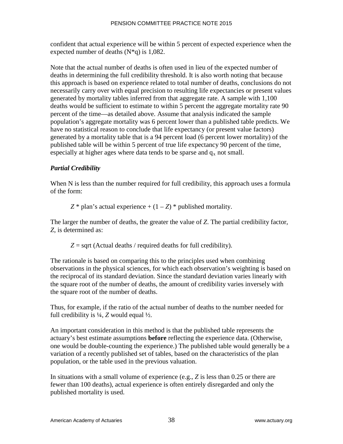confident that actual experience will be within 5 percent of expected experience when the expected number of deaths  $(N^*q)$  is 1,082.

Note that the actual number of deaths is often used in lieu of the expected number of deaths in determining the full credibility threshold. It is also worth noting that because this approach is based on experience related to total number of deaths, conclusions do not necessarily carry over with equal precision to resulting life expectancies or present values generated by mortality tables inferred from that aggregate rate. A sample with 1,100 deaths would be sufficient to estimate to within 5 percent the aggregate mortality rate 90 percent of the time—as detailed above. Assume that analysis indicated the sample population's aggregate mortality was 6 percent lower than a published table predicts. We have no statistical reason to conclude that life expectancy (or present value factors) generated by a mortality table that is a 94 percent load (6 percent lower mortality) of the published table will be within 5 percent of true life expectancy 90 percent of the time, especially at higher ages where data tends to be sparse and  $q_x$  not small.

# *Partial Credibility*

When N is less than the number required for full credibility, this approach uses a formula of the form:

 $Z^*$  plan's actual experience +  $(1 – Z)^*$  published mortality.

The larger the number of deaths, the greater the value of *Z*. The partial credibility factor, *Z*, is determined as:

 $Z =$  sqrt (Actual deaths / required deaths for full credibility).

The rationale is based on comparing this to the principles used when combining observations in the physical sciences, for which each observation's weighting is based on the reciprocal of its standard deviation. Since the standard deviation varies linearly with the square root of the number of deaths, the amount of credibility varies inversely with the square root of the number of deaths.

Thus, for example, if the ratio of the actual number of deaths to the number needed for full credibility is  $\frac{1}{4}$ , *Z* would equal  $\frac{1}{2}$ .

An [important consideration in this method is that the published ta](http://www.soa.org/files/research/projects/research-2008-benjamin.pdf)ble represents the actuary's best estimate assumptions **before** reflecting the experience data. (Otherwise, one would be double-counting the experience.) The published table would generally be a variation of a recently published set of tables, based on the characteristics of the plan population, or the table used in the previous valuation.

In situations with a small volume of experience (e.g., *Z* is less than 0.25 or there are fewer than 100 deaths), actual experience is often entirely disregarded and only the published mortality is used.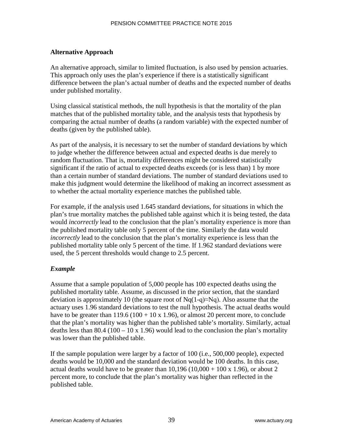# **Alternative Approach**

An alternative approach, similar to limited fluctuation, is also used by pension actuaries. This approach only uses the plan's experience if there is a statistically significant difference between the plan's actual number of deaths and the expected number of deaths under published mortality.

Using classical statistical methods, the null hypothesis is that the mortality of the plan matches that of the published mortality table, and the analysis tests that hypothesis by comparing the actual number of deaths (a random variable) with the expected number of deaths (given by the published table).

As part of the analysis, it is necessary to set the number of standard deviations by which to judge whether the difference between actual and expected deaths is due merely to random fluctuation. That is, mortality differences might be considered statistically significant if the ratio of actual to expected deaths exceeds (or is less than) 1 by more than a certain number of standard deviations. The number of standard deviations used to make this judgment would determine the likelihood of making an incorrect assessment as to whether the actual mortality experience matches the published table.

For example, if the analysis used 1.645 standard deviations, for situations in which the plan's true mortality matches the published table against which it is being tested, the data would *incorrectly* lead to the conclusion that the plan's mortality experience is more than the published mortality table only 5 percent of the time. Similarly the data would *incorrectly* lead to the conclusion that the plan's mortality experience is less than the published mortality table only 5 percent of the time. If 1.962 standard deviations were used, the 5 percent thresholds would change to 2.5 percent.

# *Example*

Assume that a sample population of 5,000 people has 100 expected deaths using the published mortality table. Assume, as discussed in the prior section, that the standard deviation is approximately 10 (the square root of  $Nq(1-q) \approx Nq$ ). Also assume that the actuary uses 1.96 standard deviations to test the null hypothesis. The actual deaths would have to be greater than  $119.6 (100 + 10 \text{ x } 1.96)$ , or almost 20 percent more, to conclude that the plan's mortality was higher than the published table's mortality. Similarly, actual deaths less than 80.4 (100 – 10 x 1.96) would lead to the conclusion the plan's mortality was lower than the published table.

If the sample population were larger by a factor of 100 (i.e., 500,000 people), expected deaths would be 10,000 and the standard deviation would be 100 deaths. In this case, actual deaths would have to be greater than  $10,196 (10,000 + 100 \text{ x } 1.96)$ , or about 2 percent more, to conclude that the plan's mortality was higher than reflected in the published table.